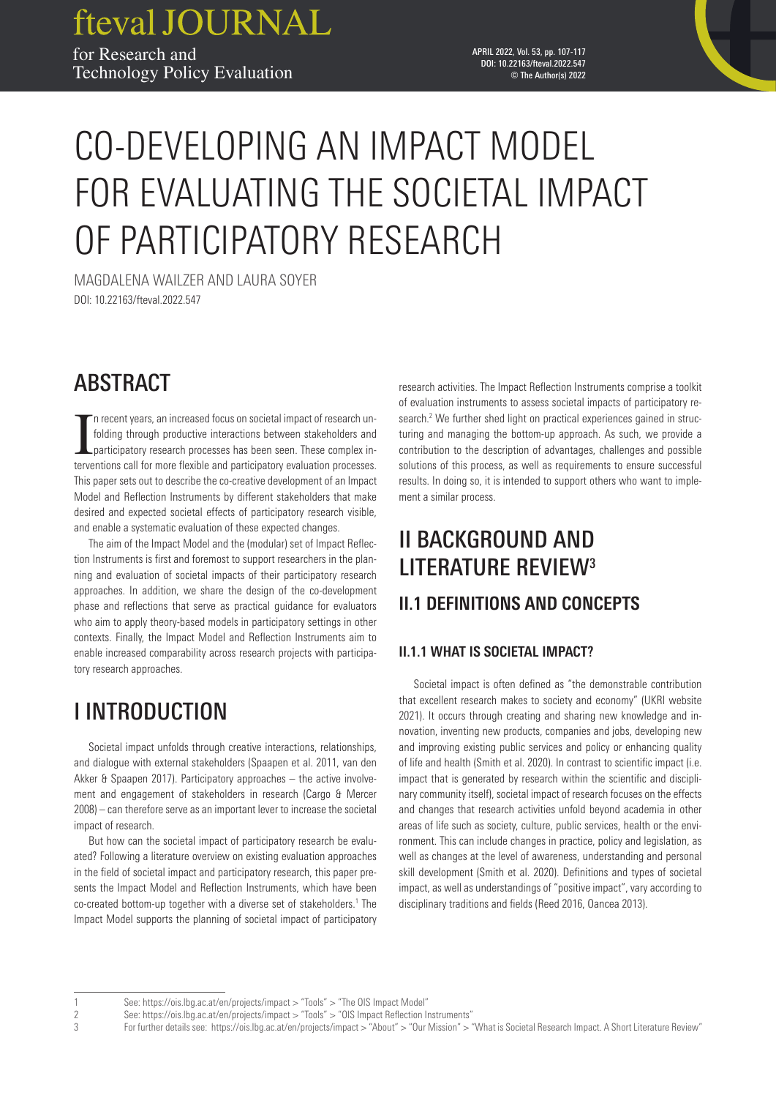fteval JOURNAL for Research and Technology Policy Evaluation

#### APRIL 2022, Vol. 53, pp. 107-117 DOI: 10.22163/fteval.2022.547 © The Author(s) 2022

# CO-DEVELOPING AN IMPACT MODEL FOR EVALUATING THE SOCIETAL IMPACT OF PARTICIPATORY RESEARCH

MAGDALENA WAILZER AND LAURA SOYER DOI: 10.22163/fteval.2022.547

## ABSTRACT

In recent years, an increased focus on societal impact of research unfolding through productive interactions between stakeholders and participatory research processes has been seen. These complex interventions call for mor n recent years, an increased focus on societal impact of research unfolding through productive interactions between stakeholders and participatory research processes has been seen. These complex in-This paper sets out to describe the co-creative development of an Impact Model and Reflection Instruments by different stakeholders that make desired and expected societal effects of participatory research visible, and enable a systematic evaluation of these expected changes.

The aim of the Impact Model and the (modular) set of Impact Reflection Instruments is first and foremost to support researchers in the planning and evaluation of societal impacts of their participatory research approaches. In addition, we share the design of the co-development phase and reflections that serve as practical guidance for evaluators who aim to apply theory-based models in participatory settings in other contexts. Finally, the Impact Model and Reflection Instruments aim to enable increased comparability across research projects with participatory research approaches.

## I INTRODUCTION

Societal impact unfolds through creative interactions, relationships, and dialogue with external stakeholders (Spaapen et al. 2011, van den Akker & Spaapen 2017). Participatory approaches – the active involvement and engagement of stakeholders in research (Cargo & Mercer 2008) – can therefore serve as an important lever to increase the societal impact of research.

But how can the societal impact of participatory research be evaluated? Following a literature overview on existing evaluation approaches in the field of societal impact and participatory research, this paper presents the Impact Model and Reflection Instruments, which have been co-created bottom-up together with a diverse set of stakeholders.<sup>1</sup> The Impact Model supports the planning of societal impact of participatory

research activities. The Impact Reflection Instruments comprise a toolkit of evaluation instruments to assess societal impacts of participatory research.<sup>2</sup> We further shed light on practical experiences gained in structuring and managing the bottom-up approach. As such, we provide a contribution to the description of advantages, challenges and possible solutions of this process, as well as requirements to ensure successful results. In doing so, it is intended to support others who want to implement a similar process.

## II BACKGROUND AND LITERATURE REVIEW3 **II.1 DEFINITIONS AND CONCEPTS**

## **II.1.1 WHAT IS SOCIETAL IMPACT?**

Societal impact is often defined as "the demonstrable contribution that excellent research makes to society and economy" (UKRI website 2021). It occurs through creating and sharing new knowledge and innovation, inventing new products, companies and jobs, developing new and improving existing public services and policy or enhancing quality of life and health (Smith et al. 2020). In contrast to scientific impact (i.e. impact that is generated by research within the scientific and disciplinary community itself), societal impact of research focuses on the effects and changes that research activities unfold beyond academia in other areas of life such as society, culture, public services, health or the environment. This can include changes in practice, policy and legislation, as well as changes at the level of awareness, understanding and personal skill development (Smith et al. 2020). Definitions and types of societal impact, as well as understandings of "positive impact", vary according to disciplinary traditions and fields (Reed 2016, Oancea 2013).

<sup>1</sup> See: <https://ois.lbg.ac.at/en/projects/impact>> "Tools" > "The OIS Impact Model"

<sup>2</sup> See: <https://ois.lbg.ac.at/en/projects/impact>> "Tools" > "OIS Impact Reflection Instruments"<br>2 For further details see: https://ois.lbg.ac.at/en/projects/impact > "About" > "Our Mission" > '

For further details see: <https://ois.lbg.ac.at/en/projects/impact> > "About" > "Our Mission" > "What is Societal Research Impact. A Short Literature Review"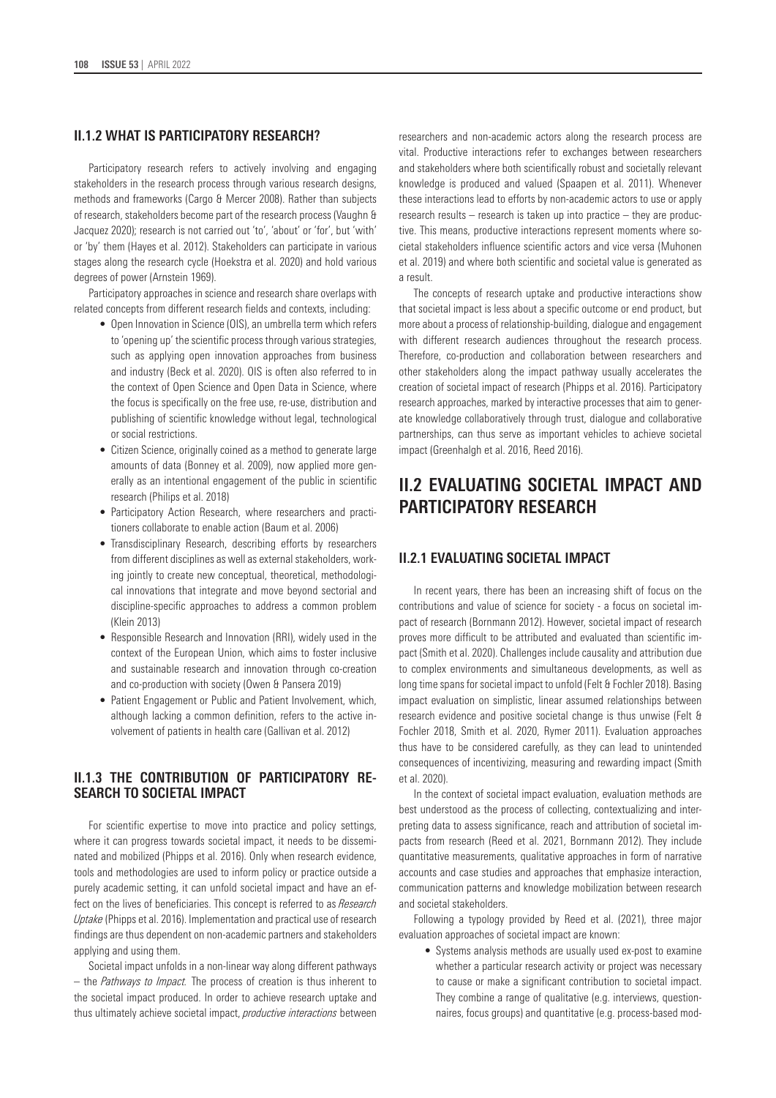### **II.1.2 WHAT IS PARTICIPATORY RESEARCH?**

Participatory research refers to actively involving and engaging stakeholders in the research process through various research designs, methods and frameworks (Cargo & Mercer 2008). Rather than subjects of research, stakeholders become part of the research process (Vaughn & Jacquez 2020); research is not carried out 'to', 'about' or 'for', but 'with' or 'by' them (Hayes et al. 2012). Stakeholders can participate in various stages along the research cycle (Hoekstra et al. 2020) and hold various degrees of power (Arnstein 1969).

Participatory approaches in science and research share overlaps with related concepts from different research fields and contexts, including:

- Open Innovation in Science (OIS), an umbrella term which refers to 'opening up' the scientific process through various strategies, such as applying open innovation approaches from business and industry (Beck et al. 2020). OIS is often also referred to in the context of Open Science and Open Data in Science, where the focus is specifically on the free use, re-use, distribution and publishing of scientific knowledge without legal, technological or social restrictions.
- Citizen Science, originally coined as a method to generate large amounts of data (Bonney et al. 2009), now applied more generally as an intentional engagement of the public in scientific research (Philips et al. 2018)
- Participatory Action Research, where researchers and practitioners collaborate to enable action (Baum et al. 2006)
- Transdisciplinary Research, describing efforts by researchers from different disciplines as well as external stakeholders, working jointly to create new conceptual, theoretical, methodological innovations that integrate and move beyond sectorial and discipline-specific approaches to address a common problem (Klein 2013)
- Responsible Research and Innovation (RRI), widely used in the context of the European Union, which aims to foster inclusive and sustainable research and innovation through co-creation and co-production with society (Owen & Pansera 2019)
- Patient Engagement or Public and Patient Involvement, which, although lacking a common definition, refers to the active involvement of patients in health care (Gallivan et al. 2012)

## **II.1.3 THE CONTRIBUTION OF PARTICIPATORY RE-SEARCH TO SOCIETAL IMPACT**

For scientific expertise to move into practice and policy settings, where it can progress towards societal impact, it needs to be disseminated and mobilized (Phipps et al. 2016). Only when research evidence, tools and methodologies are used to inform policy or practice outside a purely academic setting, it can unfold societal impact and have an effect on the lives of beneficiaries. This concept is referred to as *Research Uptake* (Phipps et al. 2016). Implementation and practical use of research findings are thus dependent on non-academic partners and stakeholders applying and using them.

Societal impact unfolds in a non-linear way along different pathways – the *Pathways to Impact.* The process of creation is thus inherent to the societal impact produced. In order to achieve research uptake and thus ultimately achieve societal impact, *productive interactions* between researchers and non-academic actors along the research process are vital. Productive interactions refer to exchanges between researchers and stakeholders where both scientifically robust and societally relevant knowledge is produced and valued (Spaapen et al. 2011). Whenever these interactions lead to efforts by non-academic actors to use or apply research results – research is taken up into practice – they are productive. This means, productive interactions represent moments where societal stakeholders influence scientific actors and vice versa (Muhonen et al. 2019) and where both scientific and societal value is generated as a result.

The concepts of research uptake and productive interactions show that societal impact is less about a specific outcome or end product, but more about a process of relationship-building, dialogue and engagement with different research audiences throughout the research process. Therefore, co-production and collaboration between researchers and other stakeholders along the impact pathway usually accelerates the creation of societal impact of research (Phipps et al. 2016). Participatory research approaches, marked by interactive processes that aim to generate knowledge collaboratively through trust, dialogue and collaborative partnerships, can thus serve as important vehicles to achieve societal impact (Greenhalgh et al. 2016, Reed 2016).

## **II.2 EVALUATING SOCIETAL IMPACT AND PARTICIPATORY RESEARCH**

## **II.2.1 EVALUATING SOCIETAL IMPACT**

In recent years, there has been an increasing shift of focus on the contributions and value of science for society - a focus on societal impact of research (Bornmann 2012). However, societal impact of research proves more difficult to be attributed and evaluated than scientific impact (Smith et al. 2020). Challenges include causality and attribution due to complex environments and simultaneous developments, as well as long time spans for societal impact to unfold (Felt & Fochler 2018). Basing impact evaluation on simplistic, linear assumed relationships between research evidence and positive societal change is thus unwise (Felt & Fochler 2018, Smith et al. 2020, Rymer 2011). Evaluation approaches thus have to be considered carefully, as they can lead to unintended consequences of incentivizing, measuring and rewarding impact (Smith et al. 2020).

In the context of societal impact evaluation, evaluation methods are best understood as the process of collecting, contextualizing and interpreting data to assess significance, reach and attribution of societal impacts from research (Reed et al. 2021, Bornmann 2012). They include quantitative measurements, qualitative approaches in form of narrative accounts and case studies and approaches that emphasize interaction, communication patterns and knowledge mobilization between research and societal stakeholders.

Following a typology provided by Reed et al. (2021), three major evaluation approaches of societal impact are known:

• Systems analysis methods are usually used ex-post to examine whether a particular research activity or project was necessary to cause or make a significant contribution to societal impact. They combine a range of qualitative (e.g. interviews, questionnaires, focus groups) and quantitative (e.g. process-based mod-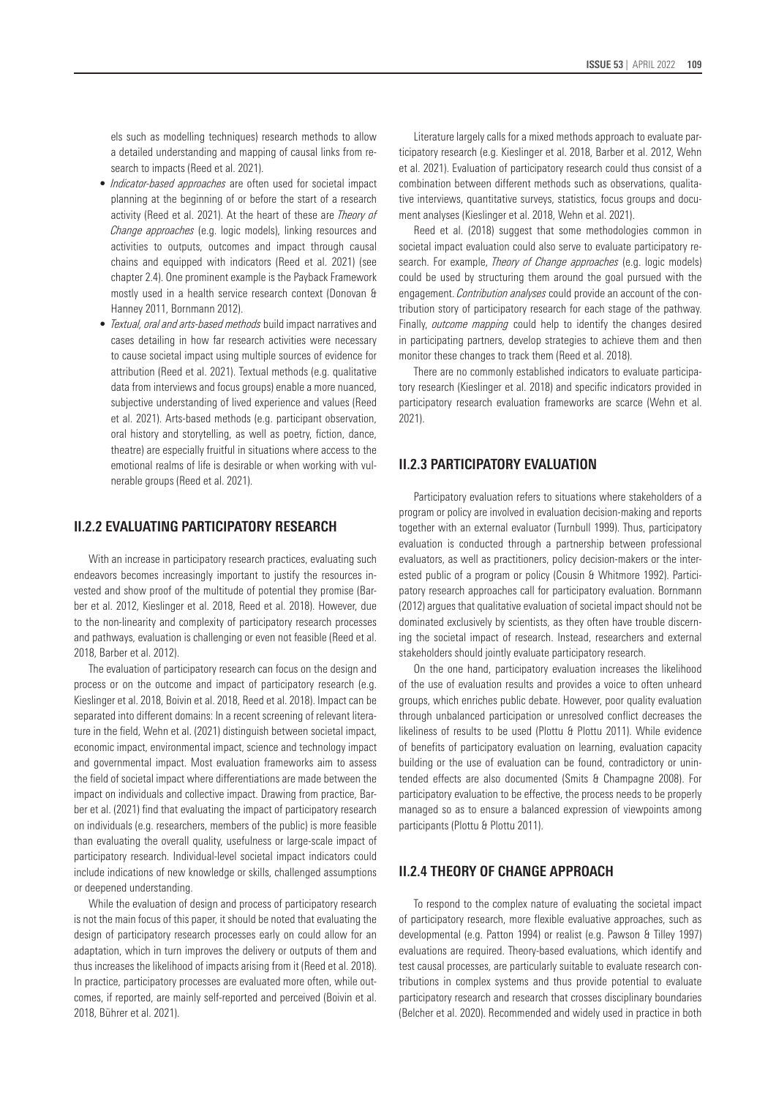els such as modelling techniques) research methods to allow a detailed understanding and mapping of causal links from research to impacts (Reed et al. 2021).

- *Indicator-based approaches* are often used for societal impact planning at the beginning of or before the start of a research activity (Reed et al. 2021). At the heart of these are *Theory of Change approaches* (e.g. logic models), linking resources and activities to outputs, outcomes and impact through causal chains and equipped with indicators (Reed et al. 2021) (see chapter 2.4). One prominent example is the Payback Framework mostly used in a health service research context (Donovan & Hanney 2011, Bornmann 2012).
- *Textual, oral and arts-based methods* build impact narratives and cases detailing in how far research activities were necessary to cause societal impact using multiple sources of evidence for attribution (Reed et al. 2021). Textual methods (e.g. qualitative data from interviews and focus groups) enable a more nuanced, subjective understanding of lived experience and values (Reed et al. 2021). Arts-based methods (e.g. participant observation, oral history and storytelling, as well as poetry, fiction, dance, theatre) are especially fruitful in situations where access to the emotional realms of life is desirable or when working with vulnerable groups (Reed et al. 2021).

### **II.2.2 EVALUATING PARTICIPATORY RESEARCH**

With an increase in participatory research practices, evaluating such endeavors becomes increasingly important to justify the resources invested and show proof of the multitude of potential they promise (Barber et al. 2012, Kieslinger et al. 2018, Reed et al. 2018). However, due to the non-linearity and complexity of participatory research processes and pathways, evaluation is challenging or even not feasible (Reed et al. 2018, Barber et al. 2012).

The evaluation of participatory research can focus on the design and process or on the outcome and impact of participatory research (e.g. Kieslinger et al. 2018, Boivin et al. 2018, Reed et al. 2018). Impact can be separated into different domains: In a recent screening of relevant literature in the field, Wehn et al. (2021) distinguish between societal impact, economic impact, environmental impact, science and technology impact and governmental impact. Most evaluation frameworks aim to assess the field of societal impact where differentiations are made between the impact on individuals and collective impact. Drawing from practice, Barber et al. (2021) find that evaluating the impact of participatory research on individuals (e.g. researchers, members of the public) is more feasible than evaluating the overall quality, usefulness or large-scale impact of participatory research. Individual-level societal impact indicators could include indications of new knowledge or skills, challenged assumptions or deepened understanding.

While the evaluation of design and process of participatory research is not the main focus of this paper, it should be noted that evaluating the design of participatory research processes early on could allow for an adaptation, which in turn improves the delivery or outputs of them and thus increases the likelihood of impacts arising from it (Reed et al. 2018). In practice, participatory processes are evaluated more often, while outcomes, if reported, are mainly self-reported and perceived (Boivin et al. 2018, Bührer et al. 2021).

Literature largely calls for a mixed methods approach to evaluate participatory research (e.g. Kieslinger et al. 2018, Barber et al. 2012, Wehn et al. 2021). Evaluation of participatory research could thus consist of a combination between different methods such as observations, qualitative interviews, quantitative surveys, statistics, focus groups and document analyses (Kieslinger et al. 2018, Wehn et al. 2021).

Reed et al. (2018) suggest that some methodologies common in societal impact evaluation could also serve to evaluate participatory research. For example, *Theory of Change approaches* (e.g. logic models) could be used by structuring them around the goal pursued with the engagement. *Contribution analyses* could provide an account of the contribution story of participatory research for each stage of the pathway. Finally, *outcome mapping* could help to identify the changes desired in participating partners, develop strategies to achieve them and then monitor these changes to track them (Reed et al. 2018).

There are no commonly established indicators to evaluate participatory research (Kieslinger et al. 2018) and specific indicators provided in participatory research evaluation frameworks are scarce (Wehn et al. 2021).

### **II.2.3 PARTICIPATORY EVALUATION**

Participatory evaluation refers to situations where stakeholders of a program or policy are involved in evaluation decision-making and reports together with an external evaluator (Turnbull 1999). Thus, participatory evaluation is conducted through a partnership between professional evaluators, as well as practitioners, policy decision-makers or the interested public of a program or policy (Cousin & Whitmore 1992). Participatory research approaches call for participatory evaluation. Bornmann (2012) argues that qualitative evaluation of societal impact should not be dominated exclusively by scientists, as they often have trouble discerning the societal impact of research. Instead, researchers and external stakeholders should jointly evaluate participatory research.

On the one hand, participatory evaluation increases the likelihood of the use of evaluation results and provides a voice to often unheard groups, which enriches public debate. However, poor quality evaluation through unbalanced participation or unresolved conflict decreases the likeliness of results to be used (Plottu & Plottu 2011). While evidence of benefits of participatory evaluation on learning, evaluation capacity building or the use of evaluation can be found, contradictory or unintended effects are also documented (Smits & Champagne 2008). For participatory evaluation to be effective, the process needs to be properly managed so as to ensure a balanced expression of viewpoints among participants (Plottu & Plottu 2011).

### **II.2.4 THEORY OF CHANGE APPROACH**

To respond to the complex nature of evaluating the societal impact of participatory research, more flexible evaluative approaches, such as developmental (e.g. Patton 1994) or realist (e.g. Pawson & Tilley 1997) evaluations are required. Theory-based evaluations, which identify and test causal processes, are particularly suitable to evaluate research contributions in complex systems and thus provide potential to evaluate participatory research and research that crosses disciplinary boundaries (Belcher et al. 2020). Recommended and widely used in practice in both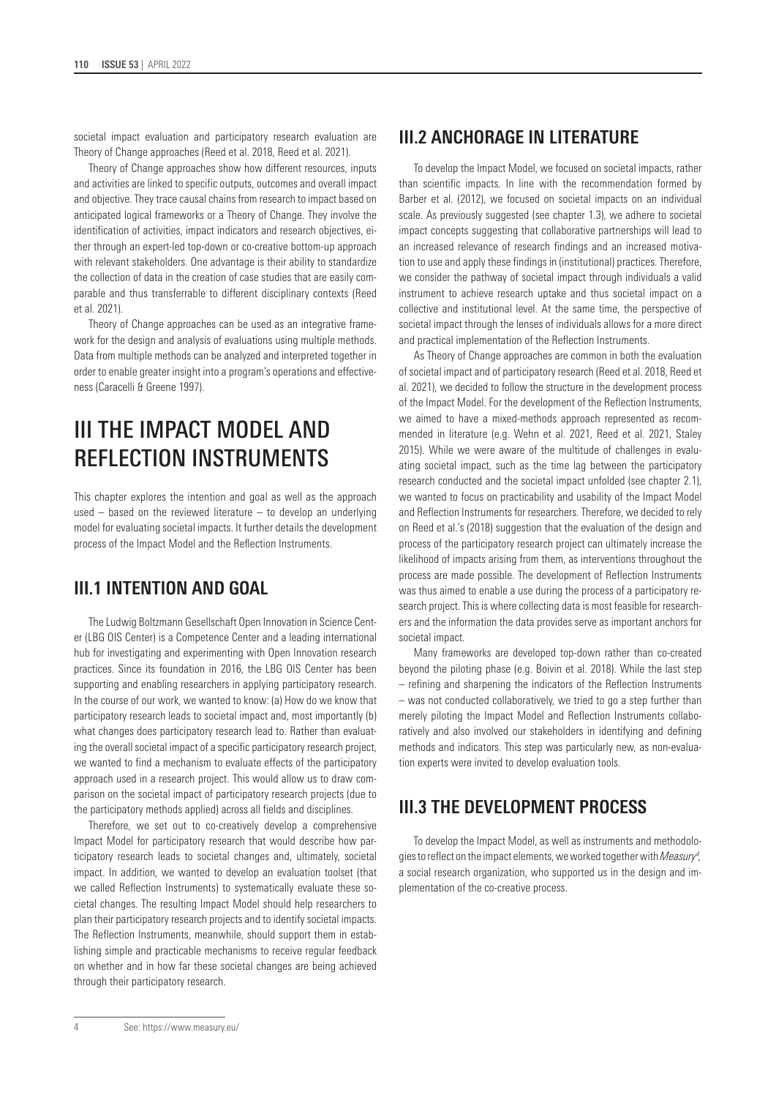societal impact evaluation and participatory research evaluation are Theory of Change approaches (Reed et al. 2018, Reed et al. 2021).

Theory of Change approaches show how different resources, inputs and activities are linked to specific outputs, outcomes and overall impact and objective. They trace causal chains from research to impact based on anticipated logical frameworks or a Theory of Change. They involve the identification of activities, impact indicators and research objectives, either through an expert-led top-down or co-creative bottom-up approach with relevant stakeholders. One advantage is their ability to standardize the collection of data in the creation of case studies that are easily comparable and thus transferrable to different disciplinary contexts (Reed et al. 2021).

Theory of Change approaches can be used as an integrative framework for the design and analysis of evaluations using multiple methods. Data from multiple methods can be analyzed and interpreted together in order to enable greater insight into a program's operations and effectiveness (Caracelli & Greene 1997).

## III THE IMPACT MODEL AND REFLECTION INSTRUMENTS

This chapter explores the intention and goal as well as the approach used – based on the reviewed literature – to develop an underlying model for evaluating societal impacts. It further details the development process of the Impact Model and the Reflection Instruments.

## **III.1 INTENTION AND GOAL**

The Ludwig Boltzmann Gesellschaft Open Innovation in Science Center (LBG OIS Center) is a Competence Center and a leading international hub for investigating and experimenting with Open Innovation research practices. Since its foundation in 2016, the LBG OIS Center has been supporting and enabling researchers in applying participatory research. In the course of our work, we wanted to know: (a) How do we know that participatory research leads to societal impact and, most importantly (b) what changes does participatory research lead to. Rather than evaluating the overall societal impact of a specific participatory research project, we wanted to find a mechanism to evaluate effects of the participatory approach used in a research project. This would allow us to draw comparison on the societal impact of participatory research projects (due to the participatory methods applied) across all fields and disciplines.

Therefore, we set out to co-creatively develop a comprehensive Impact Model for participatory research that would describe how participatory research leads to societal changes and, ultimately, societal impact. In addition, we wanted to develop an evaluation toolset (that we called Reflection Instruments) to systematically evaluate these societal changes. The resulting Impact Model should help researchers to plan their participatory research projects and to identify societal impacts. The Reflection Instruments, meanwhile, should support them in establishing simple and practicable mechanisms to receive regular feedback on whether and in how far these societal changes are being achieved through their participatory research.

## **III.2 ANCHORAGE IN LITERATURE**

To develop the Impact Model, we focused on societal impacts, rather than scientific impacts. In line with the recommendation formed by Barber et al. (2012), we focused on societal impacts on an individual scale. As previously suggested (see chapter 1.3), we adhere to societal impact concepts suggesting that collaborative partnerships will lead to an increased relevance of research findings and an increased motivation to use and apply these findings in (institutional) practices. Therefore, we consider the pathway of societal impact through individuals a valid instrument to achieve research uptake and thus societal impact on a collective and institutional level. At the same time, the perspective of societal impact through the lenses of individuals allows for a more direct and practical implementation of the Reflection Instruments.

As Theory of Change approaches are common in both the evaluation of societal impact and of participatory research (Reed et al. 2018, Reed et al. 2021), we decided to follow the structure in the development process of the Impact Model. For the development of the Reflection Instruments, we aimed to have a mixed-methods approach represented as recommended in literature (e.g. Wehn et al. 2021, Reed et al. 2021, Staley 2015). While we were aware of the multitude of challenges in evaluating societal impact, such as the time lag between the participatory research conducted and the societal impact unfolded (see chapter 2.1), we wanted to focus on practicability and usability of the Impact Model and Reflection Instruments for researchers. Therefore, we decided to rely on Reed et al.'s (2018) suggestion that the evaluation of the design and process of the participatory research project can ultimately increase the likelihood of impacts arising from them, as interventions throughout the process are made possible. The development of Reflection Instruments was thus aimed to enable a use during the process of a participatory research project. This is where collecting data is most feasible for researchers and the information the data provides serve as important anchors for societal impact.

Many frameworks are developed top-down rather than co-created beyond the piloting phase (e.g. Boivin et al. 2018). While the last step – refining and sharpening the indicators of the Reflection Instruments – was not conducted collaboratively, we tried to go a step further than merely piloting the Impact Model and Reflection Instruments collaboratively and also involved our stakeholders in identifying and defining methods and indicators. This step was particularly new, as non-evaluation experts were invited to develop evaluation tools.

## **III.3 THE DEVELOPMENT PROCESS**

To develop the Impact Model, as well as instruments and methodologies to reflect on the impact elements, we worked together with *Measury4 ,* a social research organization, who supported us in the design and implementation of the co-creative process.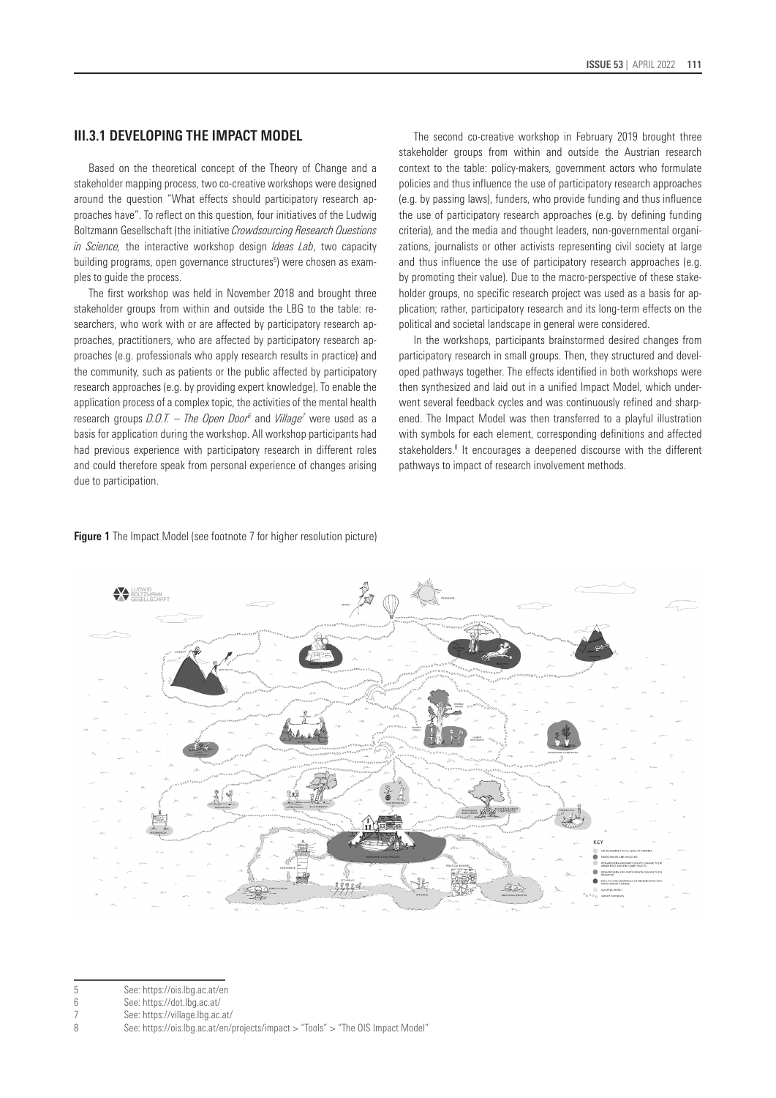### **III.3.1 DEVELOPING THE IMPACT MODEL**

Based on the theoretical concept of the Theory of Change and a stakeholder mapping process, two co-creative workshops were designed around the question "What effects should participatory research approaches have". To reflect on this question, four initiatives of the Ludwig Boltzmann Gesellschaft (the initiative *Crowdsourcing Research Questions in Science,* the interactive workshop design *Ideas Lab*, two capacity building programs, open governance structures<sup>5</sup>) were chosen as examples to guide the process.

The first workshop was held in November 2018 and brought three stakeholder groups from within and outside the LBG to the table: researchers, who work with or are affected by participatory research approaches, practitioners, who are affected by participatory research approaches (e.g. professionals who apply research results in practice) and the community, such as patients or the public affected by participatory research approaches (e.g. by providing expert knowledge). To enable the application process of a complex topic, the activities of the mental health research groups *D.O.T. – The Open Door<sup>6</sup>* and *Village<sup>7</sup>* were used as a basis for application during the workshop. All workshop participants had had previous experience with participatory research in different roles and could therefore speak from personal experience of changes arising due to participation.

The second co-creative workshop in February 2019 brought three stakeholder groups from within and outside the Austrian research context to the table: policy-makers, government actors who formulate policies and thus influence the use of participatory research approaches (e.g. by passing laws), funders, who provide funding and thus influence the use of participatory research approaches (e.g. by defining funding criteria), and the media and thought leaders, non-governmental organizations, journalists or other activists representing civil society at large and thus influence the use of participatory research approaches (e.g. by promoting their value). Due to the macro-perspective of these stakeholder groups, no specific research project was used as a basis for application; rather, participatory research and its long-term effects on the political and societal landscape in general were considered.

In the workshops, participants brainstormed desired changes from participatory research in small groups. Then, they structured and developed pathways together. The effects identified in both workshops were then synthesized and laid out in a unified Impact Model, which underwent several feedback cycles and was continuously refined and sharpened. The Impact Model was then transferred to a playful illustration with symbols for each element, corresponding definitions and affected stakeholders.<sup>8</sup> It encourages a deepened discourse with the different pathways to impact of research involvement methods.



#### **Figure 1** The Impact Model (see footnote 7 for higher resolution picture)

<sup>5</sup> See: <https://ois.lbg.ac.at/en>

<sup>6</sup> See: https://dot.lbg.ac.at/

<sup>7</sup> See: https://village.lbg.ac.at/

<sup>8</sup> See: https://ois.lbg.ac.at/en/projects/impact > "Tools" > "The OIS Impact Model"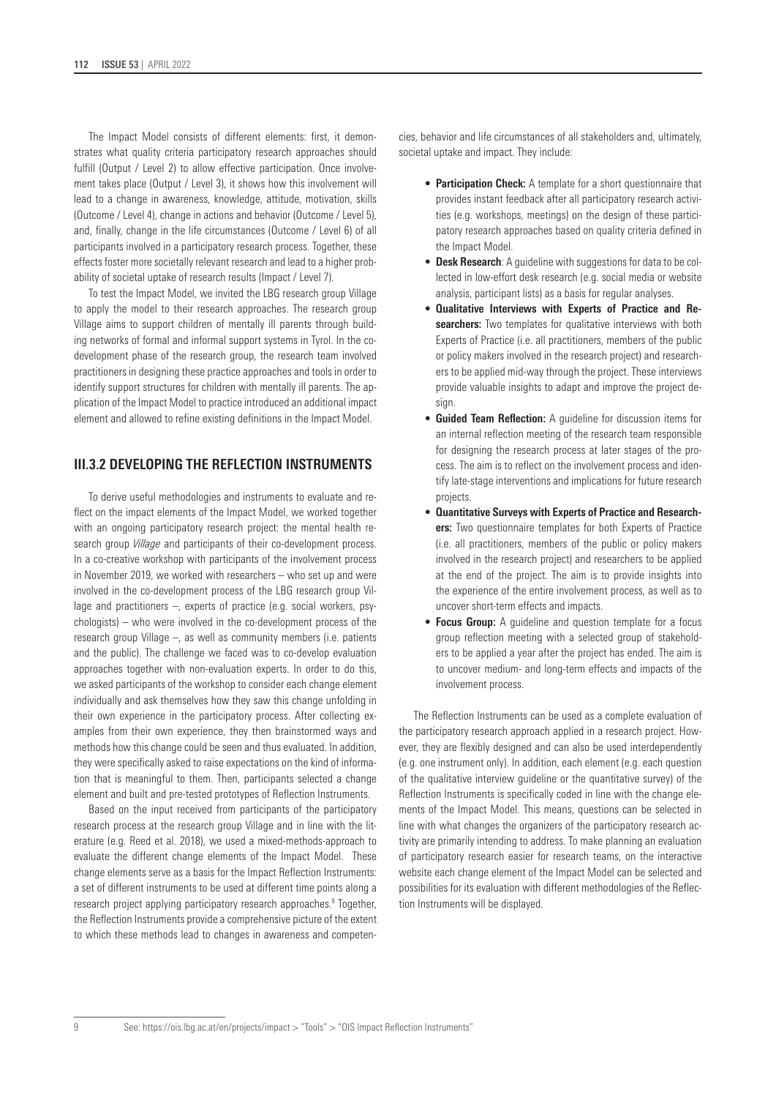The Impact Model consists of different elements: first, it demonstrates what quality criteria participatory research approaches should fulfill (Output / Level 2) to allow effective participation. Once involvement takes place (Output / Level 3), it shows how this involvement will lead to a change in awareness, knowledge, attitude, motivation, skills (Outcome / Level 4), change in actions and behavior (Outcome / Level 5), and, finally, change in the life circumstances (Outcome / Level 6) of all participants involved in a participatory research process. Together, these effects foster more societally relevant research and lead to a higher probability of societal uptake of research results (Impact / Level 7).

To test the Impact Model, we invited the LBG research group Village to apply the model to their research approaches. The research group Village aims to support children of mentally ill parents through building networks of formal and informal support systems in Tyrol. In the codevelopment phase of the research group, the research team involved practitioners in designing these practice approaches and tools in order to identify support structures for children with mentally ill parents. The application of the Impact Model to practice introduced an additional impact element and allowed to refine existing definitions in the Impact Model.

## **III.3.2 DEVELOPING THE REFLECTION INSTRUMENTS**

To derive useful methodologies and instruments to evaluate and reflect on the impact elements of the Impact Model, we worked together with an ongoing participatory research project: the mental health research group *Village* and participants of their co-development process. In a co-creative workshop with participants of the involvement process in November 2019, we worked with researchers – who set up and were involved in the co-development process of the LBG research group Village and practitioners –, experts of practice (e.g. social workers, psychologists) – who were involved in the co-development process of the research group Village –, as well as community members (i.e. patients and the public). The challenge we faced was to co-develop evaluation approaches together with non-evaluation experts. In order to do this, we asked participants of the workshop to consider each change element individually and ask themselves how they saw this change unfolding in their own experience in the participatory process. After collecting examples from their own experience, they then brainstormed ways and methods how this change could be seen and thus evaluated. In addition, they were specifically asked to raise expectations on the kind of information that is meaningful to them. Then, participants selected a change element and built and pre-tested prototypes of Reflection Instruments.

Based on the input received from participants of the participatory research process at the research group Village and in line with the literature (e.g. Reed et al. 2018), we used a mixed-methods-approach to evaluate the different change elements of the Impact Model. These change elements serve as a basis for the Impact Reflection Instruments: a set of different instruments to be used at different time points along a research project applying participatory research approaches.<sup>9</sup> Together, the Reflection Instruments provide a comprehensive picture of the extent to which these methods lead to changes in awareness and competencies, behavior and life circumstances of all stakeholders and, ultimately, societal uptake and impact. They include:

- **Participation Check:** A template for a short questionnaire that provides instant feedback after all participatory research activities (e.g. workshops, meetings) on the design of these participatory research approaches based on quality criteria defined in the Impact Model.
- **Desk Research**: A guideline with suggestions for data to be collected in low-effort desk research (e.g. social media or website analysis, participant lists) as a basis for regular analyses.
- **Qualitative Interviews with Experts of Practice and Researchers:** Two templates for qualitative interviews with both Experts of Practice (i.e. all practitioners, members of the public or policy makers involved in the research project) and researchers to be applied mid-way through the project. These interviews provide valuable insights to adapt and improve the project design.
- **Guided Team Reflection:** A guideline for discussion items for an internal reflection meeting of the research team responsible for designing the research process at later stages of the process. The aim is to reflect on the involvement process and identify late-stage interventions and implications for future research projects.
- **Quantitative Surveys with Experts of Practice and Researchers:** Two questionnaire templates for both Experts of Practice (i.e. all practitioners, members of the public or policy makers involved in the research project) and researchers to be applied at the end of the project. The aim is to provide insights into the experience of the entire involvement process, as well as to uncover short-term effects and impacts.
- **Focus Group:** A guideline and question template for a focus group reflection meeting with a selected group of stakeholders to be applied a year after the project has ended. The aim is to uncover medium- and long-term effects and impacts of the involvement process.

The Reflection Instruments can be used as a complete evaluation of the participatory research approach applied in a research project. However, they are flexibly designed and can also be used interdependently (e.g. one instrument only). In addition, each element (e.g. each question of the qualitative interview guideline or the quantitative survey) of the Reflection Instruments is specifically coded in line with the change elements of the Impact Model. This means, questions can be selected in line with what changes the organizers of the participatory research activity are primarily intending to address. To make planning an evaluation of participatory research easier for research teams, on the interactive website each change element of the Impact Model can be selected and possibilities for its evaluation with different methodologies of the Reflection Instruments will be displayed.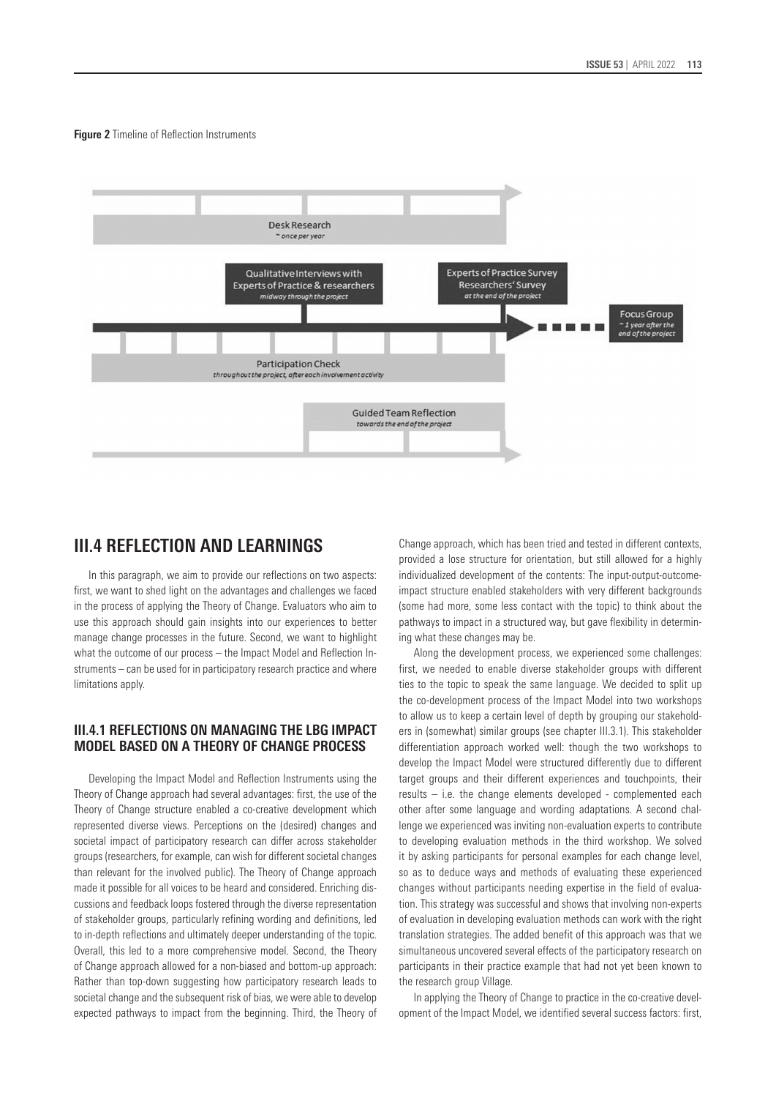#### **Figure 2** Timeline of Reflection Instruments



## **III.4 REFLECTION AND LEARNINGS**

In this paragraph, we aim to provide our reflections on two aspects: first, we want to shed light on the advantages and challenges we faced in the process of applying the Theory of Change. Evaluators who aim to use this approach should gain insights into our experiences to better manage change processes in the future. Second, we want to highlight what the outcome of our process – the Impact Model and Reflection Instruments – can be used for in participatory research practice and where limitations apply.

## **III.4.1 REFLECTIONS ON MANAGING THE LBG IMPACT MODEL BASED ON A THEORY OF CHANGE PROCESS**

Developing the Impact Model and Reflection Instruments using the Theory of Change approach had several advantages: first, the use of the Theory of Change structure enabled a co-creative development which represented diverse views. Perceptions on the (desired) changes and societal impact of participatory research can differ across stakeholder groups (researchers, for example, can wish for different societal changes than relevant for the involved public). The Theory of Change approach made it possible for all voices to be heard and considered. Enriching discussions and feedback loops fostered through the diverse representation of stakeholder groups, particularly refining wording and definitions, led to in-depth reflections and ultimately deeper understanding of the topic. Overall, this led to a more comprehensive model. Second, the Theory of Change approach allowed for a non-biased and bottom-up approach: Rather than top-down suggesting how participatory research leads to societal change and the subsequent risk of bias, we were able to develop expected pathways to impact from the beginning. Third, the Theory of

Change approach, which has been tried and tested in different contexts, provided a lose structure for orientation, but still allowed for a highly individualized development of the contents: The input-output-outcomeimpact structure enabled stakeholders with very different backgrounds (some had more, some less contact with the topic) to think about the pathways to impact in a structured way, but gave flexibility in determining what these changes may be.

Along the development process, we experienced some challenges: first, we needed to enable diverse stakeholder groups with different ties to the topic to speak the same language. We decided to split up the co-development process of the Impact Model into two workshops to allow us to keep a certain level of depth by grouping our stakeholders in (somewhat) similar groups (see chapter III.3.1). This stakeholder differentiation approach worked well: though the two workshops to develop the Impact Model were structured differently due to different target groups and their different experiences and touchpoints, their results – i.e. the change elements developed - complemented each other after some language and wording adaptations. A second challenge we experienced was inviting non-evaluation experts to contribute to developing evaluation methods in the third workshop. We solved it by asking participants for personal examples for each change level, so as to deduce ways and methods of evaluating these experienced changes without participants needing expertise in the field of evaluation. This strategy was successful and shows that involving non-experts of evaluation in developing evaluation methods can work with the right translation strategies. The added benefit of this approach was that we simultaneous uncovered several effects of the participatory research on participants in their practice example that had not yet been known to the research group Village.

In applying the Theory of Change to practice in the co-creative development of the Impact Model, we identified several success factors: first,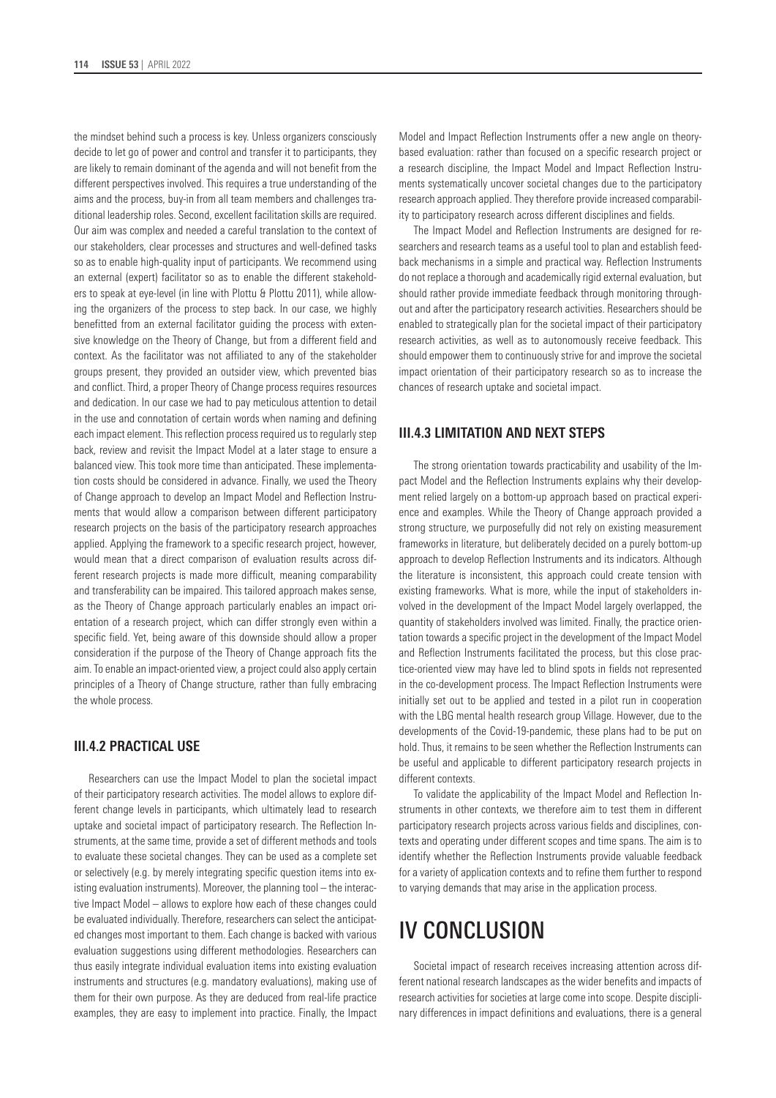the mindset behind such a process is key. Unless organizers consciously decide to let go of power and control and transfer it to participants, they are likely to remain dominant of the agenda and will not benefit from the different perspectives involved. This requires a true understanding of the aims and the process, buy-in from all team members and challenges traditional leadership roles. Second, excellent facilitation skills are required. Our aim was complex and needed a careful translation to the context of our stakeholders, clear processes and structures and well-defined tasks so as to enable high-quality input of participants. We recommend using an external (expert) facilitator so as to enable the different stakeholders to speak at eye-level (in line with Plottu & Plottu 2011), while allowing the organizers of the process to step back. In our case, we highly benefitted from an external facilitator guiding the process with extensive knowledge on the Theory of Change, but from a different field and context. As the facilitator was not affiliated to any of the stakeholder groups present, they provided an outsider view, which prevented bias and conflict. Third, a proper Theory of Change process requires resources and dedication. In our case we had to pay meticulous attention to detail in the use and connotation of certain words when naming and defining each impact element. This reflection process required us to regularly step back, review and revisit the Impact Model at a later stage to ensure a balanced view. This took more time than anticipated. These implementation costs should be considered in advance. Finally, we used the Theory of Change approach to develop an Impact Model and Reflection Instruments that would allow a comparison between different participatory research projects on the basis of the participatory research approaches applied. Applying the framework to a specific research project, however, would mean that a direct comparison of evaluation results across different research projects is made more difficult, meaning comparability and transferability can be impaired. This tailored approach makes sense, as the Theory of Change approach particularly enables an impact orientation of a research project, which can differ strongly even within a specific field. Yet, being aware of this downside should allow a proper consideration if the purpose of the Theory of Change approach fits the aim. To enable an impact-oriented view, a project could also apply certain principles of a Theory of Change structure, rather than fully embracing the whole process.

### **III.4.2 PRACTICAL USE**

Researchers can use the Impact Model to plan the societal impact of their participatory research activities. The model allows to explore different change levels in participants, which ultimately lead to research uptake and societal impact of participatory research. The Reflection Instruments, at the same time, provide a set of different methods and tools to evaluate these societal changes. They can be used as a complete set or selectively (e.g. by merely integrating specific question items into existing evaluation instruments). Moreover, the planning tool – the interactive Impact Model – allows to explore how each of these changes could be evaluated individually. Therefore, researchers can select the anticipated changes most important to them. Each change is backed with various evaluation suggestions using different methodologies. Researchers can thus easily integrate individual evaluation items into existing evaluation instruments and structures (e.g. mandatory evaluations), making use of them for their own purpose. As they are deduced from real-life practice examples, they are easy to implement into practice. Finally, the Impact Model and Impact Reflection Instruments offer a new angle on theorybased evaluation: rather than focused on a specific research project or a research discipline, the Impact Model and Impact Reflection Instruments systematically uncover societal changes due to the participatory research approach applied. They therefore provide increased comparability to participatory research across different disciplines and fields.

The Impact Model and Reflection Instruments are designed for researchers and research teams as a useful tool to plan and establish feedback mechanisms in a simple and practical way. Reflection Instruments do not replace a thorough and academically rigid external evaluation, but should rather provide immediate feedback through monitoring throughout and after the participatory research activities. Researchers should be enabled to strategically plan for the societal impact of their participatory research activities, as well as to autonomously receive feedback. This should empower them to continuously strive for and improve the societal impact orientation of their participatory research so as to increase the chances of research uptake and societal impact.

#### **III.4.3 LIMITATION AND NEXT STEPS**

The strong orientation towards practicability and usability of the Impact Model and the Reflection Instruments explains why their development relied largely on a bottom-up approach based on practical experience and examples. While the Theory of Change approach provided a strong structure, we purposefully did not rely on existing measurement frameworks in literature, but deliberately decided on a purely bottom-up approach to develop Reflection Instruments and its indicators. Although the literature is inconsistent, this approach could create tension with existing frameworks. What is more, while the input of stakeholders involved in the development of the Impact Model largely overlapped, the quantity of stakeholders involved was limited. Finally, the practice orientation towards a specific project in the development of the Impact Model and Reflection Instruments facilitated the process, but this close practice-oriented view may have led to blind spots in fields not represented in the co-development process. The Impact Reflection Instruments were initially set out to be applied and tested in a pilot run in cooperation with the LBG mental health research group Village. However, due to the developments of the Covid-19-pandemic, these plans had to be put on hold. Thus, it remains to be seen whether the Reflection Instruments can be useful and applicable to different participatory research projects in different contexts.

To validate the applicability of the Impact Model and Reflection Instruments in other contexts, we therefore aim to test them in different participatory research projects across various fields and disciplines, contexts and operating under different scopes and time spans. The aim is to identify whether the Reflection Instruments provide valuable feedback for a variety of application contexts and to refine them further to respond to varying demands that may arise in the application process.

## IV CONCLUSION

Societal impact of research receives increasing attention across different national research landscapes as the wider benefits and impacts of research activities for societies at large come into scope. Despite disciplinary differences in impact definitions and evaluations, there is a general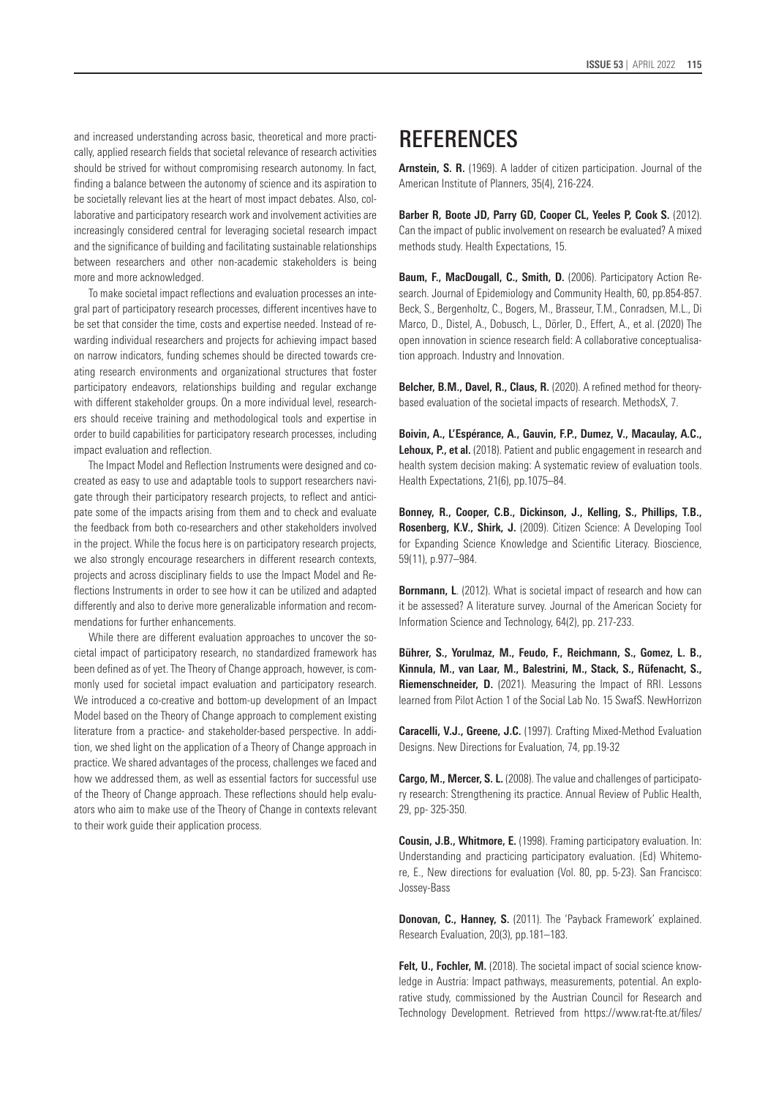and increased understanding across basic, theoretical and more practically, applied research fields that societal relevance of research activities should be strived for without compromising research autonomy. In fact, finding a balance between the autonomy of science and its aspiration to be societally relevant lies at the heart of most impact debates. Also, collaborative and participatory research work and involvement activities are increasingly considered central for leveraging societal research impact and the significance of building and facilitating sustainable relationships between researchers and other non-academic stakeholders is being more and more acknowledged.

To make societal impact reflections and evaluation processes an integral part of participatory research processes, different incentives have to be set that consider the time, costs and expertise needed. Instead of rewarding individual researchers and projects for achieving impact based on narrow indicators, funding schemes should be directed towards creating research environments and organizational structures that foster participatory endeavors, relationships building and regular exchange with different stakeholder groups. On a more individual level, researchers should receive training and methodological tools and expertise in order to build capabilities for participatory research processes, including impact evaluation and reflection.

The Impact Model and Reflection Instruments were designed and cocreated as easy to use and adaptable tools to support researchers navigate through their participatory research projects, to reflect and anticipate some of the impacts arising from them and to check and evaluate the feedback from both co-researchers and other stakeholders involved in the project. While the focus here is on participatory research projects, we also strongly encourage researchers in different research contexts, projects and across disciplinary fields to use the Impact Model and Reflections Instruments in order to see how it can be utilized and adapted differently and also to derive more generalizable information and recommendations for further enhancements.

While there are different evaluation approaches to uncover the societal impact of participatory research, no standardized framework has been defined as of yet. The Theory of Change approach, however, is commonly used for societal impact evaluation and participatory research. We introduced a co-creative and bottom-up development of an Impact Model based on the Theory of Change approach to complement existing literature from a practice- and stakeholder-based perspective. In addition, we shed light on the application of a Theory of Change approach in practice. We shared advantages of the process, challenges we faced and how we addressed them, as well as essential factors for successful use of the Theory of Change approach. These reflections should help evaluators who aim to make use of the Theory of Change in contexts relevant to their work guide their application process.

## **REFERENCES**

**Arnstein, S. R.** (1969). A ladder of citizen participation. Journal of the American Institute of Planners, 35(4), 216-224.

Barber R, Boote JD, Parry GD, Cooper CL, Yeeles P, Cook S. (2012). Can the impact of public involvement on research be evaluated? A mixed methods study. Health Expectations, 15.

**Baum, F., MacDougall, C., Smith, D.** (2006). Participatory Action Research. Journal of Epidemiology and Community Health, 60, pp.854-857. Beck, S., Bergenholtz, C., Bogers, M., Brasseur, T.M., Conradsen, M.L., Di Marco, D., Distel, A., Dobusch, L., Dörler, D., Effert, A., et al. (2020) The open innovation in science research field: A collaborative conceptualisation approach. Industry and Innovation.

**Belcher, B.M., Davel, R., Claus, R.** (2020). A refined method for theorybased evaluation of the societal impacts of research. MethodsX, 7.

**Boivin, A., L'Espérance, A., Gauvin, F.P., Dumez, V., Macaulay, A.C., Lehoux, P., et al.** (2018). Patient and public engagement in research and health system decision making: A systematic review of evaluation tools. Health Expectations, 21(6), pp.1075–84.

**Bonney, R., Cooper, C.B., Dickinson, J., Kelling, S., Phillips, T.B., Rosenberg, K.V., Shirk, J.** (2009). Citizen Science: A Developing Tool for Expanding Science Knowledge and Scientific Literacy. Bioscience, 59(11), p.977–984.

**Bornmann, L**. (2012). What is societal impact of research and how can it be assessed? A literature survey. Journal of the American Society for Information Science and Technology, 64(2), pp. 217-233.

**Bührer, S., Yorulmaz, M., Feudo, F., Reichmann, S., Gomez, L. B., Kinnula, M., van Laar, M., Balestrini, M., Stack, S., Rüfenacht, S., Riemenschneider, D.** (2021). Measuring the Impact of RRI. Lessons learned from Pilot Action 1 of the Social Lab No. 15 SwafS. NewHorrizon

**Caracelli, V.J., Greene, J.C.** (1997). Crafting Mixed-Method Evaluation Designs. New Directions for Evaluation, 74, pp.19-32

**Cargo, M., Mercer, S. L.** (2008). The value and challenges of participatory research: Strengthening its practice. Annual Review of Public Health, 29, pp- 325-350.

**Cousin, J.B., Whitmore, E.** (1998). Framing participatory evaluation. In: Understanding and practicing participatory evaluation. (Ed) Whitemore, E., New directions for evaluation (Vol. 80, pp. 5-23). San Francisco: Jossey-Bass

**Donovan, C., Hanney, S.** (2011). The 'Payback Framework' explained. Research Evaluation, 20(3), pp.181–183.

**Felt, U., Fochler, M.** (2018). The societal impact of social science knowledge in Austria: Impact pathways, measurements, potential. An explorative study, commissioned by the Austrian Council for Research and Technology Development. Retrieved from [https://www.rat-fte.at/files/](https://www.rat-fte.at/files/rat-fte-pdf-en/documents/publications/190124_Societal_Impact_Felt_Fochler%202018.pdf)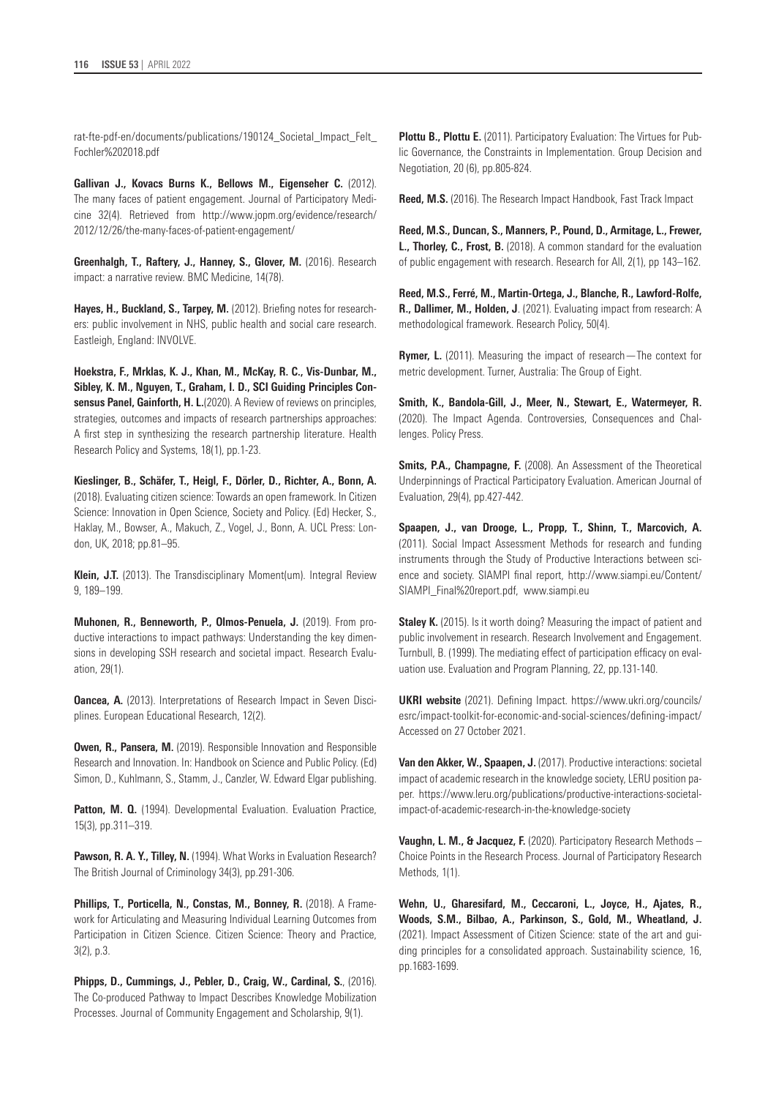[rat-fte-pdf-en/documents/publications/190124\\_Societal\\_Impact\\_Felt\\_](https://www.rat-fte.at/files/rat-fte-pdf-en/documents/publications/190124_Societal_Impact_Felt_Fochler%202018.pdf) [Fochler%202018.pdf](https://www.rat-fte.at/files/rat-fte-pdf-en/documents/publications/190124_Societal_Impact_Felt_Fochler%202018.pdf)

**Gallivan J., Kovacs Burns K., Bellows M., Eigenseher C.** (2012). The many faces of patient engagement. Journal of Participatory Medicine 32(4). Retrieved from http://www.jopm.org/evidence/research/ 2012/12/26/the-many-faces-of-patient-engagement/

**Greenhalgh, T., Raftery, J., Hanney, S., Glover, M.** (2016). Research impact: a narrative review. BMC Medicine, 14(78).

Hayes, H., Buckland, S., Tarpey, M. (2012). Briefing notes for researchers: public involvement in NHS, public health and social care research. Eastleigh, England: INVOLVE.

**Hoekstra, F., Mrklas, K. J., Khan, M., McKay, R. C., Vis-Dunbar, M., Sibley, K. M., Nguyen, T., Graham, I. D., SCI Guiding Principles Consensus Panel, Gainforth, H. L.**(2020). A Review of reviews on principles, strategies, outcomes and impacts of research partnerships approaches: A first step in synthesizing the research partnership literature. Health Research Policy and Systems, 18(1), pp.1-23.

**Kieslinger, B., Schäfer, T., Heigl, F., Dörler, D., Richter, A., Bonn, A.**  (2018). Evaluating citizen science: Towards an open framework. In Citizen Science: Innovation in Open Science, Society and Policy. (Ed) Hecker, S., Haklay, M., Bowser, A., Makuch, Z., Vogel, J., Bonn, A. UCL Press: London, UK, 2018; pp.81–95.

**Klein, J.T.** (2013). The Transdisciplinary Moment(um). Integral Review 9, 189–199.

**Muhonen, R., Benneworth, P., Olmos-Penuela, J.** (2019). From productive interactions to impact pathways: Understanding the key dimensions in developing SSH research and societal impact. Research Evaluation, 29(1).

**Oancea, A.** (2013). Interpretations of Research Impact in Seven Disciplines. European Educational Research, 12(2).

**Owen, R., Pansera, M.** (2019). Responsible Innovation and Responsible Research and Innovation. In: Handbook on Science and Public Policy. (Ed) Simon, D., Kuhlmann, S., Stamm, J., Canzler, W. Edward Elgar publishing.

**Patton, M. Q.** (1994). Developmental Evaluation. Evaluation Practice, 15(3), pp.311–319.

**Pawson, R. A. Y., Tilley, N.** (1994). What Works in Evaluation Research? The British Journal of Criminology 34(3), pp.291-306.

**Phillips, T., Porticella, N., Constas, M., Bonney, R.** (2018). A Framework for Articulating and Measuring Individual Learning Outcomes from Participation in Citizen Science. Citizen Science: Theory and Practice, 3(2), p.3.

**Phipps, D., Cummings, J., Pebler, D., Craig, W., Cardinal, S.**, (2016). The Co-produced Pathway to Impact Describes Knowledge Mobilization Processes. Journal of Community Engagement and Scholarship, 9(1).

**Plottu B., Plottu E.** (2011). Participatory Evaluation: The Virtues for Public Governance, the Constraints in Implementation. Group Decision and Negotiation, 20 (6), pp.805-824.

**Reed, M.S.** (2016). The Research Impact Handbook, Fast Track Impact

**Reed, M.S., Duncan, S., Manners, P., Pound, D., Armitage, L., Frewer, L., Thorley, C., Frost, B.** (2018). A common standard for the evaluation of public engagement with research. Research for All, 2(1), pp 143–162.

**Reed, M.S., Ferré, M., Martin-Ortega, J., Blanche, R., Lawford-Rolfe, R., Dallimer, M., Holden, J**. (2021). Evaluating impact from research: A methodological framework. Research Policy, 50(4).

**Rymer, L.** (2011). Measuring the impact of research—The context for metric development. Turner, Australia: The Group of Eight.

**Smith, K., Bandola-Gill, J., Meer, N., Stewart, E., Watermeyer, R.**  (2020). The Impact Agenda. Controversies, Consequences and Challenges. Policy Press.

**Smits, P.A., Champagne, F.** (2008). An Assessment of the Theoretical Underpinnings of Practical Participatory Evaluation. American Journal of Evaluation, 29(4), pp.427-442.

**Spaapen, J., van Drooge, L., Propp, T., Shinn, T., Marcovich, A.** (2011). Social Impact Assessment Methods for research and funding instruments through the Study of Productive Interactions between science and society. SIAMPI final report, [http://www.siampi.eu/Content/](http://www.siampi.eu/Content/SIAMPI_Final%20report.pdf) [SIAMPI\\_Final%20report.pdf,](http://www.siampi.eu/Content/SIAMPI_Final%20report.pdf) [www.siampi.eu](http://www.siampi.eu)

**Staley K.** (2015). Is it worth doing? Measuring the impact of patient and public involvement in research. Research Involvement and Engagement. Turnbull, B. (1999). The mediating effect of participation efficacy on evaluation use. Evaluation and Program Planning, 22, pp.131-140.

**UKRI website** (2021). Defining Impact. [https://www.ukri.org/councils/](https://www.ukri.org/councils/esrc/impact-toolkit-for-economic-and-social-sciences/defining-impact/) [esrc/impact-toolkit-for-economic-and-social-sciences/defining-impact/](https://www.ukri.org/councils/esrc/impact-toolkit-for-economic-and-social-sciences/defining-impact/) Accessed on 27 October 2021.

**Van den Akker, W., Spaapen, J.** (2017). Productive interactions: societal impact of academic research in the knowledge society, LERU position paper. [https://www.leru.org/publications/productive-interactions-societal](https://www.leru.org/publications/productive-interactions-societal-impact-of-academic-research-in-the-knowledge-society)[impact-of-academic-research-in-the-knowledge-society](https://www.leru.org/publications/productive-interactions-societal-impact-of-academic-research-in-the-knowledge-society)

**Vaughn, L. M., & Jacquez, F.** (2020). Participatory Research Methods – Choice Points in the Research Process. Journal of Participatory Research Methods, 1(1).

**Wehn, U., Gharesifard, M., Ceccaroni, L., Joyce, H., Ajates, R., Woods, S.M., Bilbao, A., Parkinson, S., Gold, M., Wheatland, J.** (2021). Impact Assessment of Citizen Science: state of the art and guiding principles for a consolidated approach. Sustainability science, 16, pp.1683-1699.